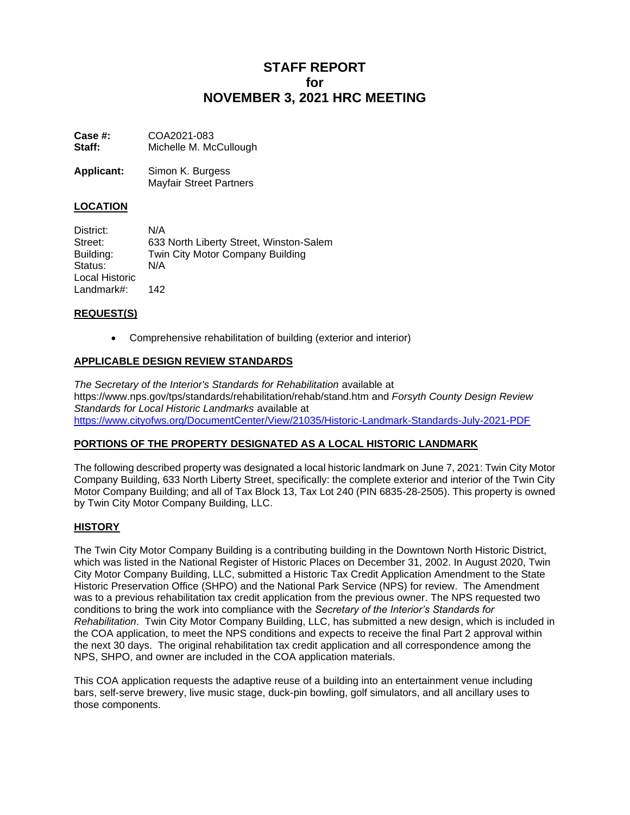# **STAFF REPORT for NOVEMBER 3, 2021 HRC MEETING**

**Case #:** COA2021-083 **Staff:** Michelle M. McCullough

**Applicant:** Simon K. Burgess Mayfair Street Partners

# **LOCATION**

| District:      | N/A                                     |
|----------------|-----------------------------------------|
| Street:        | 633 North Liberty Street, Winston-Salem |
| Building:      | Twin City Motor Company Building        |
| Status:        | N/A                                     |
| Local Historic |                                         |
| Landmark#:     | 142                                     |

## **REQUEST(S)**

• Comprehensive rehabilitation of building (exterior and interior)

# **APPLICABLE DESIGN REVIEW STANDARDS**

*The Secretary of the Interior's Standards for Rehabilitation* available at https://www.nps.gov/tps/standards/rehabilitation/rehab/stand.htm and *Forsyth County Design Review Standards for Local Historic Landmarks* available at <https://www.cityofws.org/DocumentCenter/View/21035/Historic-Landmark-Standards-July-2021-PDF>

## **PORTIONS OF THE PROPERTY DESIGNATED AS A LOCAL HISTORIC LANDMARK**

The following described property was designated a local historic landmark on June 7, 2021: Twin City Motor Company Building, 633 North Liberty Street, specifically: the complete exterior and interior of the Twin City Motor Company Building; and all of Tax Block 13, Tax Lot 240 (PIN 6835-28-2505). This property is owned by Twin City Motor Company Building, LLC.

## **HISTORY**

The Twin City Motor Company Building is a contributing building in the Downtown North Historic District, which was listed in the National Register of Historic Places on December 31, 2002. In August 2020, Twin City Motor Company Building, LLC, submitted a Historic Tax Credit Application Amendment to the State Historic Preservation Office (SHPO) and the National Park Service (NPS) for review. The Amendment was to a previous rehabilitation tax credit application from the previous owner. The NPS requested two conditions to bring the work into compliance with the *Secretary of the Interior's Standards for Rehabilitation*. Twin City Motor Company Building, LLC, has submitted a new design, which is included in the COA application, to meet the NPS conditions and expects to receive the final Part 2 approval within the next 30 days. The original rehabilitation tax credit application and all correspondence among the NPS, SHPO, and owner are included in the COA application materials.

This COA application requests the adaptive reuse of a building into an entertainment venue including bars, self-serve brewery, live music stage, duck-pin bowling, golf simulators, and all ancillary uses to those components.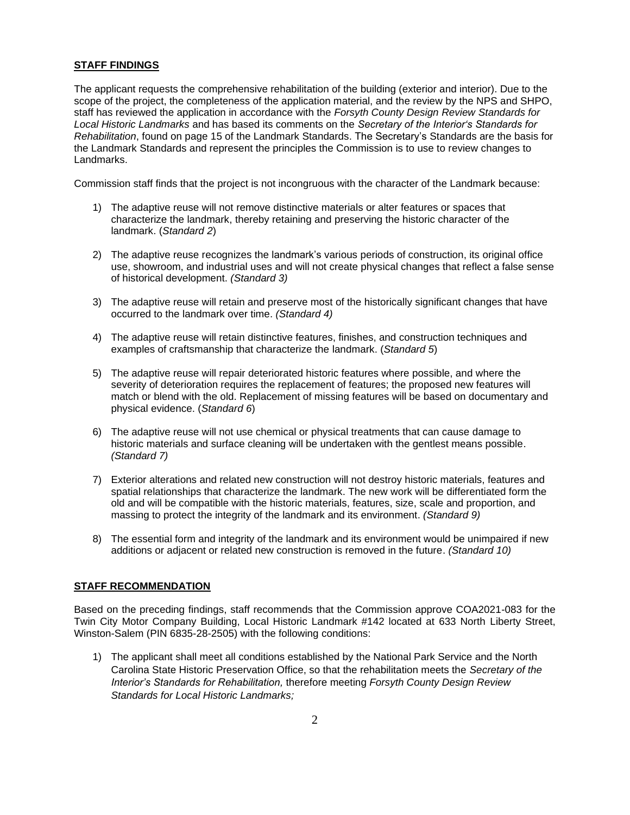#### **STAFF FINDINGS**

The applicant requests the comprehensive rehabilitation of the building (exterior and interior). Due to the scope of the project, the completeness of the application material, and the review by the NPS and SHPO, staff has reviewed the application in accordance with the *Forsyth County Design Review Standards for Local Historic Landmarks* and has based its comments on the *Secretary of the Interior's Standards for Rehabilitation*, found on page 15 of the Landmark Standards. The Secretary's Standards are the basis for the Landmark Standards and represent the principles the Commission is to use to review changes to Landmarks.

Commission staff finds that the project is not incongruous with the character of the Landmark because:

- 1) The adaptive reuse will not remove distinctive materials or alter features or spaces that characterize the landmark, thereby retaining and preserving the historic character of the landmark. (*Standard 2*)
- 2) The adaptive reuse recognizes the landmark's various periods of construction, its original office use, showroom, and industrial uses and will not create physical changes that reflect a false sense of historical development. *(Standard 3)*
- 3) The adaptive reuse will retain and preserve most of the historically significant changes that have occurred to the landmark over time. *(Standard 4)*
- 4) The adaptive reuse will retain distinctive features, finishes, and construction techniques and examples of craftsmanship that characterize the landmark. (*Standard 5*)
- 5) The adaptive reuse will repair deteriorated historic features where possible, and where the severity of deterioration requires the replacement of features; the proposed new features will match or blend with the old. Replacement of missing features will be based on documentary and physical evidence. (*Standard 6*)
- 6) The adaptive reuse will not use chemical or physical treatments that can cause damage to historic materials and surface cleaning will be undertaken with the gentlest means possible. *(Standard 7)*
- 7) Exterior alterations and related new construction will not destroy historic materials, features and spatial relationships that characterize the landmark. The new work will be differentiated form the old and will be compatible with the historic materials, features, size, scale and proportion, and massing to protect the integrity of the landmark and its environment. *(Standard 9)*
- 8) The essential form and integrity of the landmark and its environment would be unimpaired if new additions or adjacent or related new construction is removed in the future. *(Standard 10)*

#### **STAFF RECOMMENDATION**

Based on the preceding findings, staff recommends that the Commission approve COA2021-083 for the Twin City Motor Company Building, Local Historic Landmark #142 located at 633 North Liberty Street, Winston-Salem (PIN 6835-28-2505) with the following conditions:

1) The applicant shall meet all conditions established by the National Park Service and the North Carolina State Historic Preservation Office, so that the rehabilitation meets the *Secretary of the Interior's Standards for Rehabilitation,* therefore meeting *Forsyth County Design Review Standards for Local Historic Landmarks;*